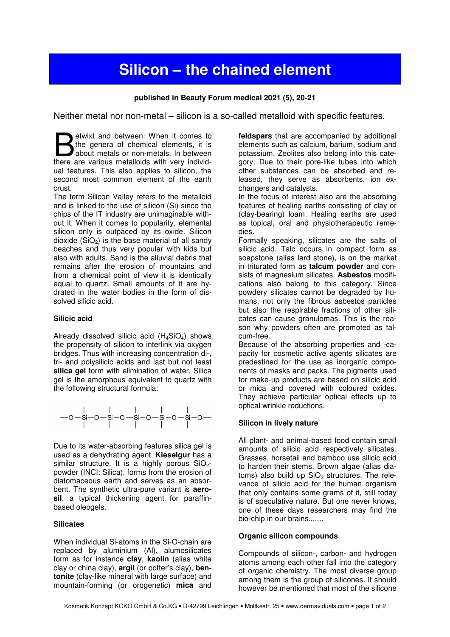# **Silicon – the chained element**

## **published in Beauty Forum medical 2021 (5), 20-21**

Neither metal nor non-metal – silicon is a so-called metalloid with specific features.

etwixt and between: When it comes to the genera of chemical elements, it is about metals or non-metals. In between Subsetted and between: When it comes to the genera of chemical elements, it is about metals or non-metals. In between there are various metalloids with very individual features. This also applies to silicon, the second most common element of the earth crust.

The term Silicon Valley refers to the metalloid and is linked to the use of silicon (Si) since the chips of the IT industry are unimaginable without it. When it comes to popularity, elemental silicon only is outpaced by its oxide. Silicon dioxide  $(SiO<sub>2</sub>)$  is the base material of all sandy beaches and thus very popular with kids but also with adults. Sand is the alluvial debris that remains after the erosion of mountains and from a chemical point of view it is identically equal to quartz. Small amounts of it are hydrated in the water bodies in the form of dissolved silicic acid.

#### **Silicic acid**

Already dissolved silicic acid  $(H_4SiO_4)$  shows the propensity of silicon to interlink via oxygen bridges. Thus with increasing concentration di-, tri- and polysilicic acids and last but not least **silica gel** form with elimination of water. Silica gel is the amorphous equivalent to quartz with the following structural formula:



Due to its water-absorbing features silica gel is used as a dehydrating agent. **Kieselgur** has a similar structure. It is a highly porous  $SiO<sub>2</sub>$ powder (INCI: Silica), forms from the erosion of diatomaceous earth and serves as an absorbent. The synthetic ultra-pure variant is **aerosil**, a typical thickening agent for paraffinbased oleogels.

### **Silicates**

When individual Si-atoms in the Si-O-chain are replaced by aluminium (Al), alumosilicates form as for instance **clay**, **kaolin** (alias white clay or china clay), **argil** (or potter's clay), **bentonite** (clay-like mineral with large surface) and mountain-forming (or orogenetic) **mica** and **feldspars** that are accompanied by additional elements such as calcium, barium, sodium and potassium. Zeolites also belong into this category. Due to their pore-like tubes into which other substances can be absorbed and released, they serve as absorbents, ion exchangers and catalysts.

In the focus of interest also are the absorbing features of healing earths consisting of clay or (clay-bearing) loam. Healing earths are used as topical, oral and physiotherapeutic remedies.

Formally speaking, silicates are the salts of silicic acid. Talc occurs in compact form as soapstone (alias lard stone), is on the market in triturated form as **talcum powder** and consists of magnesium silicates. **Asbestos** modifications also belong to this category. Since powdery silicates cannot be degraded by humans, not only the fibrous asbestos particles but also the respirable fractions of other silicates can cause granulomas. This is the reason why powders often are promoted as talcum-free.

Because of the absorbing properties and -capacity for cosmetic active agents silicates are predestined for the use as inorganic components of masks and packs. The pigments used for make-up products are based on silicic acid or mica and covered with coloured oxides. They achieve particular optical effects up to optical wrinkle reductions.

### **Silicon in lively nature**

All plant- and animal-based food contain small amounts of silicic acid respectively silicates. Grasses, horsetail and bamboo use silicic acid to harden their stems. Brown algae (alias diatoms) also build up  $SiO<sub>2</sub>$  structures. The relevance of silicic acid for the human organism that only contains some grams of it, still today is of speculative nature. But one never knows, one of these days researchers may find the bio-chip in our brains.......

### **Organic silicon compounds**

Compounds of silicon-, carbon- and hydrogen atoms among each other fall into the category of organic chemistry. The most diverse group among them is the group of silicones. It should however be mentioned that most of the silicone